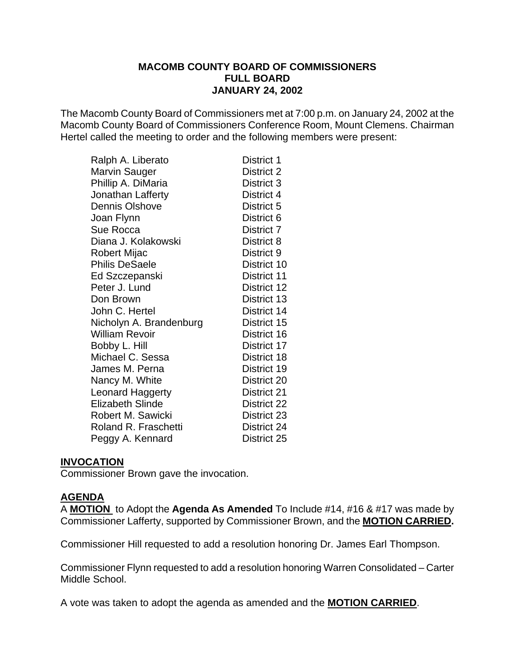#### **MACOMB COUNTY BOARD OF COMMISSIONERS FULL BOARD JANUARY 24, 2002**

The Macomb County Board of Commissioners met at 7:00 p.m. on January 24, 2002 at the Macomb County Board of Commissioners Conference Room, Mount Clemens. Chairman Hertel called the meeting to order and the following members were present:

| District 1  |
|-------------|
| District 2  |
| District 3  |
| District 4  |
| District 5  |
| District 6  |
| District 7  |
| District 8  |
| District 9  |
| District 10 |
| District 11 |
| District 12 |
| District 13 |
| District 14 |
| District 15 |
| District 16 |
| District 17 |
| District 18 |
| District 19 |
| District 20 |
| District 21 |
| District 22 |
| District 23 |
| District 24 |
| District 25 |
|             |

#### **INVOCATION**

Commissioner Brown gave the invocation.

#### **AGENDA**

A **MOTION** to Adopt the **Agenda As Amended** To Include #14, #16 & #17 was made by Commissioner Lafferty, supported by Commissioner Brown, and the **MOTION CARRIED.** 

Commissioner Hill requested to add a resolution honoring Dr. James Earl Thompson.

Commissioner Flynn requested to add a resolution honoring Warren Consolidated – Carter Middle School.

A vote was taken to adopt the agenda as amended and the **MOTION CARRIED**.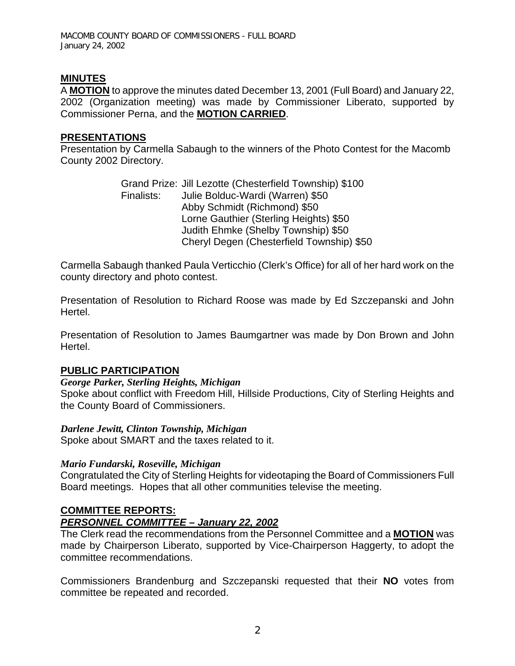# **MINUTES**

A **MOTION** to approve the minutes dated December 13, 2001 (Full Board) and January 22, 2002 (Organization meeting) was made by Commissioner Liberato, supported by Commissioner Perna, and the **MOTION CARRIED**.

#### **PRESENTATIONS**

Presentation by Carmella Sabaugh to the winners of the Photo Contest for the Macomb County 2002 Directory.

> Grand Prize: Jill Lezotte (Chesterfield Township) \$100 Finalists: Julie Bolduc-Wardi (Warren) \$50 Abby Schmidt (Richmond) \$50 Lorne Gauthier (Sterling Heights) \$50 Judith Ehmke (Shelby Township) \$50 Cheryl Degen (Chesterfield Township) \$50

Carmella Sabaugh thanked Paula Verticchio (Clerk's Office) for all of her hard work on the county directory and photo contest.

Presentation of Resolution to Richard Roose was made by Ed Szczepanski and John Hertel.

Presentation of Resolution to James Baumgartner was made by Don Brown and John Hertel.

#### **PUBLIC PARTICIPATION**

#### *George Parker, Sterling Heights, Michigan*

Spoke about conflict with Freedom Hill, Hillside Productions, City of Sterling Heights and the County Board of Commissioners.

#### *Darlene Jewitt, Clinton Township, Michigan*

Spoke about SMART and the taxes related to it.

#### *Mario Fundarski, Roseville, Michigan*

Congratulated the City of Sterling Heights for videotaping the Board of Commissioners Full Board meetings. Hopes that all other communities televise the meeting.

# **COMMITTEE REPORTS:**

#### *PERSONNEL COMMITTEE – January 22, 2002*

The Clerk read the recommendations from the Personnel Committee and a **MOTION** was made by Chairperson Liberato, supported by Vice-Chairperson Haggerty, to adopt the committee recommendations.

Commissioners Brandenburg and Szczepanski requested that their **NO** votes from committee be repeated and recorded.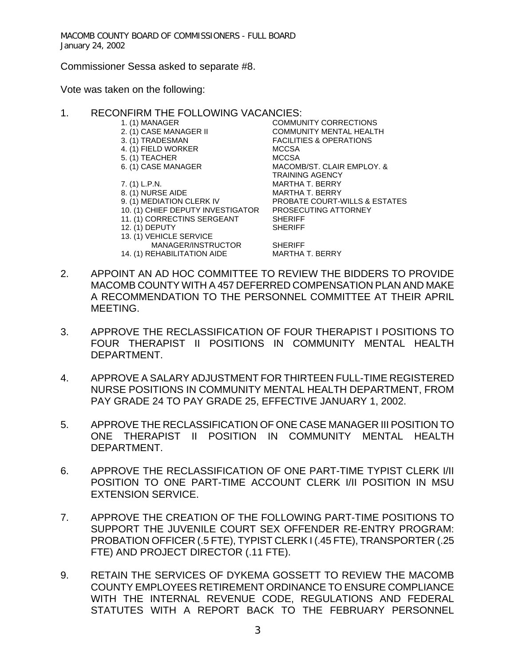Commissioner Sessa asked to separate #8.

Vote was taken on the following:

#### 1. RECONFIRM THE FOLLOWING VACANCIES:

- 1. (1) MANAGER COMMUNITY CORRECTIONS
- 
- 
- 4. (1) FIELD WORKER MCCSA
- 5. (1) TEACHER MCCSA
- 
- 
- 
- 
- 10. (1) CHIEF DEPUTY INVESTIGATOR PROSECUTING ATTORNEY
- 11. (1) CORRECTINS SERGEANT SHERIFF<br>12. (1) DEPUTY SHERIFF
- 12. (1) DEPUTY
- 13. (1) VEHICLE SERVICE
- MANAGER/INSTRUCTOR SHERIFF<br>EHABILITATION AIDE MARTHA T. BERRY 14. (1) REHABILITATION AIDE
- 2. (1) CASE MANAGER II COMMUNITY MENTAL HEALTH 3. (1) TRADESMAN FACILITIES & OPERATIONS 6. (1) CASE MANAGER MACOMB/ST. CLAIR EMPLOY. & TRAINING AGENCY 7. (1) L.P.N. MARTHA T. BERRY 8. (1) NURSE AIDE MARTHA T. BERRY PROBATE COURT-WILLS & ESTATES

- 2. APPOINT AN AD HOC COMMITTEE TO REVIEW THE BIDDERS TO PROVIDE MACOMB COUNTY WITH A 457 DEFERRED COMPENSATION PLAN AND MAKE A RECOMMENDATION TO THE PERSONNEL COMMITTEE AT THEIR APRIL MEETING.
- 3. APPROVE THE RECLASSIFICATION OF FOUR THERAPIST I POSITIONS TO FOUR THERAPIST II POSITIONS IN COMMUNITY MENTAL HEALTH DEPARTMENT.
- 4. APPROVE A SALARY ADJUSTMENT FOR THIRTEEN FULL-TIME REGISTERED NURSE POSITIONS IN COMMUNITY MENTAL HEALTH DEPARTMENT, FROM PAY GRADE 24 TO PAY GRADE 25, EFFECTIVE JANUARY 1, 2002.
- 5. APPROVE THE RECLASSIFICATION OF ONE CASE MANAGER III POSITION TO ONE THERAPIST II POSITION IN COMMUNITY MENTAL HEALTH DEPARTMENT.
- 6. APPROVE THE RECLASSIFICATION OF ONE PART-TIME TYPIST CLERK I/II POSITION TO ONE PART-TIME ACCOUNT CLERK I/II POSITION IN MSU EXTENSION SERVICE.
- 7. APPROVE THE CREATION OF THE FOLLOWING PART-TIME POSITIONS TO SUPPORT THE JUVENILE COURT SEX OFFENDER RE-ENTRY PROGRAM: PROBATION OFFICER (.5 FTE), TYPIST CLERK I (.45 FTE), TRANSPORTER (.25 FTE) AND PROJECT DIRECTOR (.11 FTE).
- 9. RETAIN THE SERVICES OF DYKEMA GOSSETT TO REVIEW THE MACOMB COUNTY EMPLOYEES RETIREMENT ORDINANCE TO ENSURE COMPLIANCE WITH THE INTERNAL REVENUE CODE, REGULATIONS AND FEDERAL STATUTES WITH A REPORT BACK TO THE FEBRUARY PERSONNEL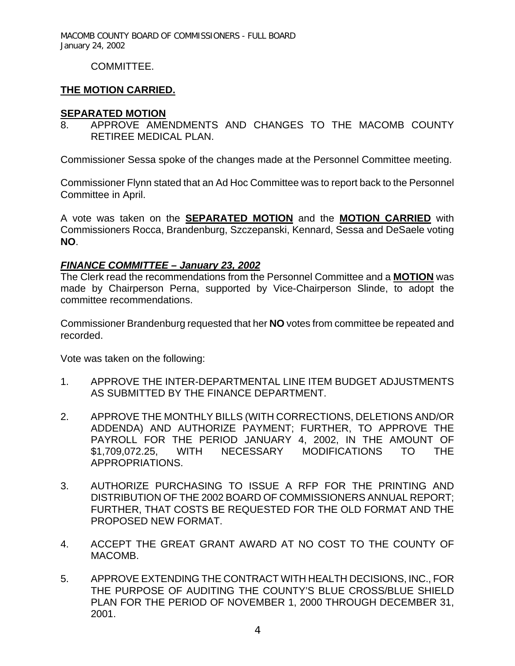## COMMITTEE.

# **THE MOTION CARRIED.**

## **SEPARATED MOTION**

8. APPROVE AMENDMENTS AND CHANGES TO THE MACOMB COUNTY RETIREE MEDICAL PLAN.

Commissioner Sessa spoke of the changes made at the Personnel Committee meeting.

Commissioner Flynn stated that an Ad Hoc Committee was to report back to the Personnel Committee in April.

A vote was taken on the **SEPARATED MOTION** and the **MOTION CARRIED** with Commissioners Rocca, Brandenburg, Szczepanski, Kennard, Sessa and DeSaele voting **NO**.

# *FINANCE COMMITTEE – January 23, 2002*

The Clerk read the recommendations from the Personnel Committee and a **MOTION** was made by Chairperson Perna, supported by Vice-Chairperson Slinde, to adopt the committee recommendations.

Commissioner Brandenburg requested that her **NO** votes from committee be repeated and recorded.

Vote was taken on the following:

- 1. APPROVE THE INTER-DEPARTMENTAL LINE ITEM BUDGET ADJUSTMENTS AS SUBMITTED BY THE FINANCE DEPARTMENT.
- 2. APPROVE THE MONTHLY BILLS (WITH CORRECTIONS, DELETIONS AND/OR ADDENDA) AND AUTHORIZE PAYMENT; FURTHER, TO APPROVE THE PAYROLL FOR THE PERIOD JANUARY 4, 2002, IN THE AMOUNT OF \$1,709,072.25, WITH NECESSARY MODIFICATIONS TO THE APPROPRIATIONS.
- 3. AUTHORIZE PURCHASING TO ISSUE A RFP FOR THE PRINTING AND DISTRIBUTION OF THE 2002 BOARD OF COMMISSIONERS ANNUAL REPORT; FURTHER, THAT COSTS BE REQUESTED FOR THE OLD FORMAT AND THE PROPOSED NEW FORMAT.
- 4. ACCEPT THE GREAT GRANT AWARD AT NO COST TO THE COUNTY OF MACOMB.
- 5. APPROVE EXTENDING THE CONTRACT WITH HEALTH DECISIONS, INC., FOR THE PURPOSE OF AUDITING THE COUNTY'S BLUE CROSS/BLUE SHIELD PLAN FOR THE PERIOD OF NOVEMBER 1, 2000 THROUGH DECEMBER 31, 2001.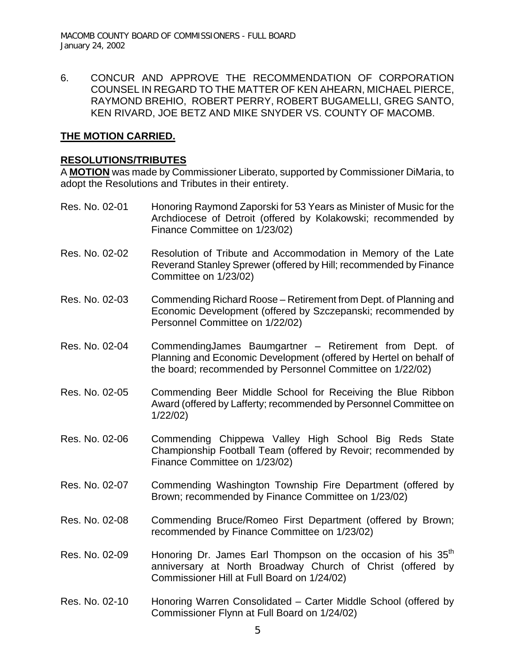6. CONCUR AND APPROVE THE RECOMMENDATION OF CORPORATION COUNSEL IN REGARD TO THE MATTER OF KEN AHEARN, MICHAEL PIERCE, RAYMOND BREHIO, ROBERT PERRY, ROBERT BUGAMELLI, GREG SANTO, KEN RIVARD, JOE BETZ AND MIKE SNYDER VS. COUNTY OF MACOMB.

#### **THE MOTION CARRIED.**

#### **RESOLUTIONS/TRIBUTES**

A **MOTION** was made by Commissioner Liberato, supported by Commissioner DiMaria, to adopt the Resolutions and Tributes in their entirety.

- Res. No. 02-01 Honoring Raymond Zaporski for 53 Years as Minister of Music for the Archdiocese of Detroit (offered by Kolakowski; recommended by Finance Committee on 1/23/02)
- Res. No. 02-02 Resolution of Tribute and Accommodation in Memory of the Late Reverand Stanley Sprewer (offered by Hill; recommended by Finance Committee on 1/23/02)
- Res. No. 02-03 Commending Richard Roose Retirement from Dept. of Planning and Economic Development (offered by Szczepanski; recommended by Personnel Committee on 1/22/02)
- Res. No. 02-04 CommendingJames Baumgartner Retirement from Dept. of Planning and Economic Development (offered by Hertel on behalf of the board; recommended by Personnel Committee on 1/22/02)
- Res. No. 02-05 Commending Beer Middle School for Receiving the Blue Ribbon Award (offered by Lafferty; recommended by Personnel Committee on 1/22/02)
- Res. No. 02-06 Commending Chippewa Valley High School Big Reds State Championship Football Team (offered by Revoir; recommended by Finance Committee on 1/23/02)
- Res. No. 02-07 Commending Washington Township Fire Department (offered by Brown; recommended by Finance Committee on 1/23/02)
- Res. No. 02-08 Commending Bruce/Romeo First Department (offered by Brown; recommended by Finance Committee on 1/23/02)
- Res. No. 02-09 Honoring Dr. James Earl Thompson on the occasion of his  $35<sup>th</sup>$ anniversary at North Broadway Church of Christ (offered by Commissioner Hill at Full Board on 1/24/02)
- Res. No. 02-10 Honoring Warren Consolidated Carter Middle School (offered by Commissioner Flynn at Full Board on 1/24/02)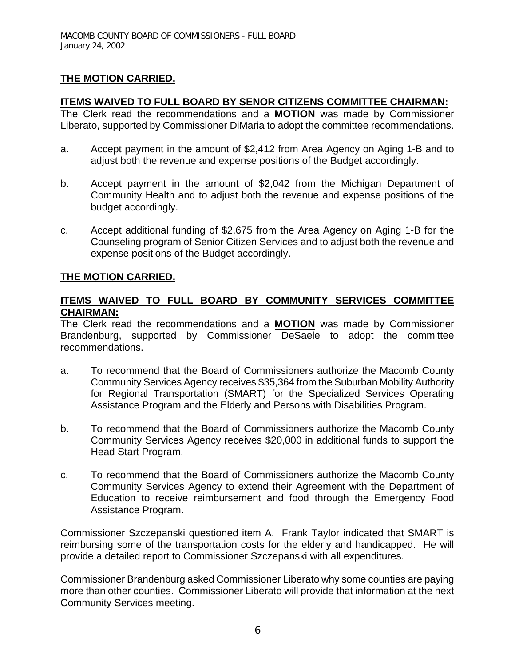# **THE MOTION CARRIED.**

## **ITEMS WAIVED TO FULL BOARD BY SENOR CITIZENS COMMITTEE CHAIRMAN:**

The Clerk read the recommendations and a **MOTION** was made by Commissioner Liberato, supported by Commissioner DiMaria to adopt the committee recommendations.

- a. Accept payment in the amount of \$2,412 from Area Agency on Aging 1-B and to adjust both the revenue and expense positions of the Budget accordingly.
- b. Accept payment in the amount of \$2,042 from the Michigan Department of Community Health and to adjust both the revenue and expense positions of the budget accordingly.
- c. Accept additional funding of \$2,675 from the Area Agency on Aging 1-B for the Counseling program of Senior Citizen Services and to adjust both the revenue and expense positions of the Budget accordingly.

# **THE MOTION CARRIED.**

## **ITEMS WAIVED TO FULL BOARD BY COMMUNITY SERVICES COMMITTEE CHAIRMAN:**

The Clerk read the recommendations and a **MOTION** was made by Commissioner Brandenburg, supported by Commissioner DeSaele to adopt the committee recommendations.

- a. To recommend that the Board of Commissioners authorize the Macomb County Community Services Agency receives \$35,364 from the Suburban Mobility Authority for Regional Transportation (SMART) for the Specialized Services Operating Assistance Program and the Elderly and Persons with Disabilities Program.
- b. To recommend that the Board of Commissioners authorize the Macomb County Community Services Agency receives \$20,000 in additional funds to support the Head Start Program.
- c. To recommend that the Board of Commissioners authorize the Macomb County Community Services Agency to extend their Agreement with the Department of Education to receive reimbursement and food through the Emergency Food Assistance Program.

Commissioner Szczepanski questioned item A. Frank Taylor indicated that SMART is reimbursing some of the transportation costs for the elderly and handicapped. He will provide a detailed report to Commissioner Szczepanski with all expenditures.

Commissioner Brandenburg asked Commissioner Liberato why some counties are paying more than other counties. Commissioner Liberato will provide that information at the next Community Services meeting.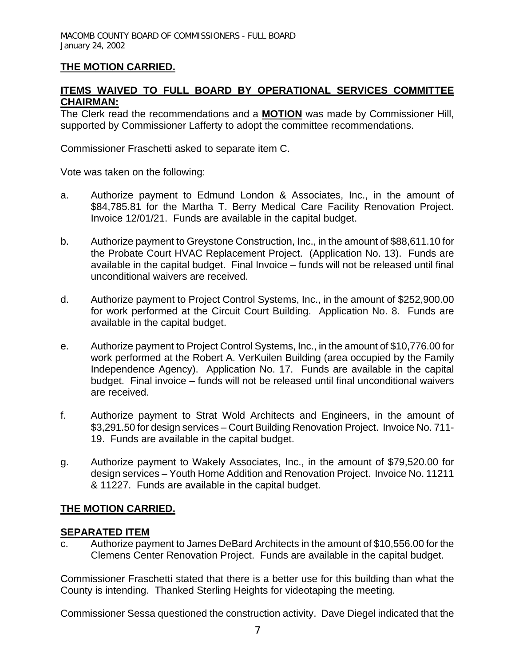# **THE MOTION CARRIED.**

## **ITEMS WAIVED TO FULL BOARD BY OPERATIONAL SERVICES COMMITTEE CHAIRMAN:**

The Clerk read the recommendations and a **MOTION** was made by Commissioner Hill, supported by Commissioner Lafferty to adopt the committee recommendations.

Commissioner Fraschetti asked to separate item C.

Vote was taken on the following:

- a. Authorize payment to Edmund London & Associates, Inc., in the amount of \$84,785.81 for the Martha T. Berry Medical Care Facility Renovation Project. Invoice 12/01/21. Funds are available in the capital budget.
- b. Authorize payment to Greystone Construction, Inc., in the amount of \$88,611.10 for the Probate Court HVAC Replacement Project. (Application No. 13). Funds are available in the capital budget. Final Invoice – funds will not be released until final unconditional waivers are received.
- d. Authorize payment to Project Control Systems, Inc., in the amount of \$252,900.00 for work performed at the Circuit Court Building. Application No. 8. Funds are available in the capital budget.
- e. Authorize payment to Project Control Systems, Inc., in the amount of \$10,776.00 for work performed at the Robert A. VerKuilen Building (area occupied by the Family Independence Agency). Application No. 17. Funds are available in the capital budget. Final invoice – funds will not be released until final unconditional waivers are received.
- f. Authorize payment to Strat Wold Architects and Engineers, in the amount of \$3,291.50 for design services – Court Building Renovation Project. Invoice No. 711- 19. Funds are available in the capital budget.
- g. Authorize payment to Wakely Associates, Inc., in the amount of \$79,520.00 for design services – Youth Home Addition and Renovation Project. Invoice No. 11211 & 11227. Funds are available in the capital budget.

#### **THE MOTION CARRIED.**

#### **SEPARATED ITEM**

c. Authorize payment to James DeBard Architects in the amount of \$10,556.00 for the Clemens Center Renovation Project. Funds are available in the capital budget.

Commissioner Fraschetti stated that there is a better use for this building than what the County is intending. Thanked Sterling Heights for videotaping the meeting.

Commissioner Sessa questioned the construction activity. Dave Diegel indicated that the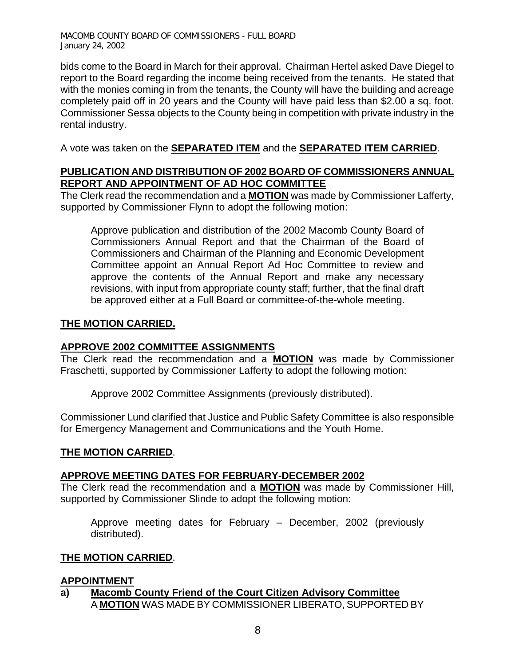bids come to the Board in March for their approval. Chairman Hertel asked Dave Diegel to report to the Board regarding the income being received from the tenants. He stated that with the monies coming in from the tenants, the County will have the building and acreage completely paid off in 20 years and the County will have paid less than \$2.00 a sq. foot. Commissioner Sessa objects to the County being in competition with private industry in the rental industry.

A vote was taken on the **SEPARATED ITEM** and the **SEPARATED ITEM CARRIED**.

# **PUBLICATION AND DISTRIBUTION OF 2002 BOARD OF COMMISSIONERS ANNUAL REPORT AND APPOINTMENT OF AD HOC COMMITTEE**

The Clerk read the recommendation and a **MOTION** was made by Commissioner Lafferty, supported by Commissioner Flynn to adopt the following motion:

Approve publication and distribution of the 2002 Macomb County Board of Commissioners Annual Report and that the Chairman of the Board of Commissioners and Chairman of the Planning and Economic Development Committee appoint an Annual Report Ad Hoc Committee to review and approve the contents of the Annual Report and make any necessary revisions, with input from appropriate county staff; further, that the final draft be approved either at a Full Board or committee-of-the-whole meeting.

## **THE MOTION CARRIED.**

#### **APPROVE 2002 COMMITTEE ASSIGNMENTS**

The Clerk read the recommendation and a **MOTION** was made by Commissioner Fraschetti, supported by Commissioner Lafferty to adopt the following motion:

Approve 2002 Committee Assignments (previously distributed).

Commissioner Lund clarified that Justice and Public Safety Committee is also responsible for Emergency Management and Communications and the Youth Home.

#### **THE MOTION CARRIED**.

#### **APPROVE MEETING DATES FOR FEBRUARY-DECEMBER 2002**

The Clerk read the recommendation and a **MOTION** was made by Commissioner Hill, supported by Commissioner Slinde to adopt the following motion:

Approve meeting dates for February – December, 2002 (previously distributed).

#### **THE MOTION CARRIED**.

#### **APPOINTMENT**

**a) Macomb County Friend of the Court Citizen Advisory Committee** A **MOTION** WAS MADE BY COMMISSIONER LIBERATO, SUPPORTED BY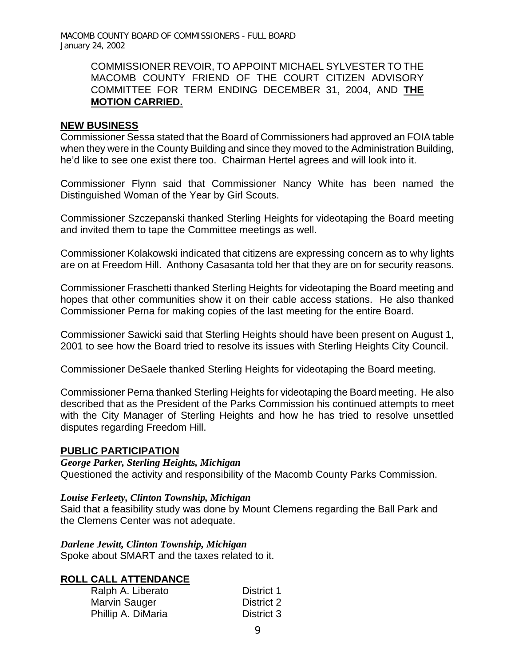#### COMMISSIONER REVOIR, TO APPOINT MICHAEL SYLVESTER TO THE MACOMB COUNTY FRIEND OF THE COURT CITIZEN ADVISORY COMMITTEE FOR TERM ENDING DECEMBER 31, 2004, AND **THE MOTION CARRIED.**

#### **NEW BUSINESS**

Commissioner Sessa stated that the Board of Commissioners had approved an FOIA table when they were in the County Building and since they moved to the Administration Building, he'd like to see one exist there too. Chairman Hertel agrees and will look into it.

Commissioner Flynn said that Commissioner Nancy White has been named the Distinguished Woman of the Year by Girl Scouts.

Commissioner Szczepanski thanked Sterling Heights for videotaping the Board meeting and invited them to tape the Committee meetings as well.

Commissioner Kolakowski indicated that citizens are expressing concern as to why lights are on at Freedom Hill. Anthony Casasanta told her that they are on for security reasons.

Commissioner Fraschetti thanked Sterling Heights for videotaping the Board meeting and hopes that other communities show it on their cable access stations. He also thanked Commissioner Perna for making copies of the last meeting for the entire Board.

Commissioner Sawicki said that Sterling Heights should have been present on August 1, 2001 to see how the Board tried to resolve its issues with Sterling Heights City Council.

Commissioner DeSaele thanked Sterling Heights for videotaping the Board meeting.

Commissioner Perna thanked Sterling Heights for videotaping the Board meeting. He also described that as the President of the Parks Commission his continued attempts to meet with the City Manager of Sterling Heights and how he has tried to resolve unsettled disputes regarding Freedom Hill.

#### **PUBLIC PARTICIPATION**

*George Parker, Sterling Heights, Michigan* 

Questioned the activity and responsibility of the Macomb County Parks Commission.

#### *Louise Ferleety, Clinton Township, Michigan*

Said that a feasibility study was done by Mount Clemens regarding the Ball Park and the Clemens Center was not adequate.

*Darlene Jewitt, Clinton Township, Michigan*  Spoke about SMART and the taxes related to it.

#### **ROLL CALL ATTENDANCE**

| Ralph A. Liberato    | District 1 |
|----------------------|------------|
| <b>Marvin Sauger</b> | District 2 |
| Phillip A. DiMaria   | District 3 |